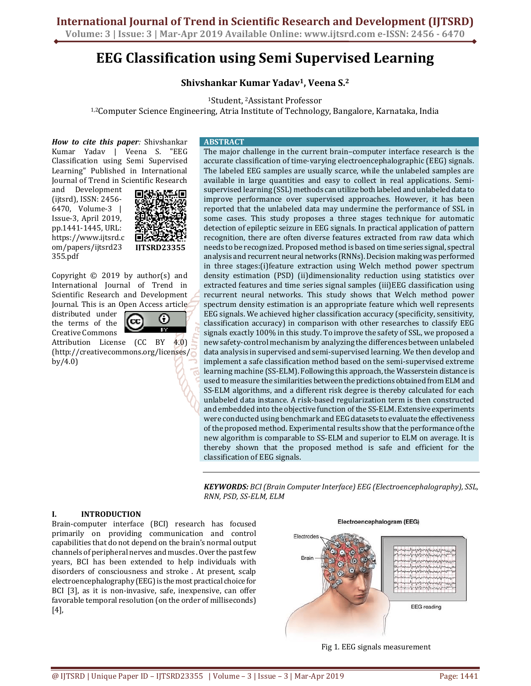**International Journal of Trend in Scientific Research and Development (IJTSRD) Volume: 3 | Issue: 3 | Mar-Apr 2019 Available Online: www.ijtsrd.com e-ISSN: 2456 - 6470**

**EEG Classification using Semi Supervised Learning** 

**Shivshankar Kumar Yadav1, Veena S.<sup>2</sup>**

<sup>1</sup>Student, 2Assistant Professor 1,2Computer Science Engineering, Atria Institute of Technology, Bangalore, Karnataka, India

Classification using Semi Supervised Learning" Published in International Journal of Trend in Scientific Research and Development (ijtsrd), ISSN: 2456- 6470, Volume-3 | Issue-3, April 2019,

pp.1441-1445, URL: https://www.ijtsrd.c om/papers/ijtsrd23 355.pdf



Copyright  $\odot$  2019 by author(s) and International Journal of Trend in Scientific Research and Development Journal. This is an Open Access article

distributed under the terms of the Creative Commons



Attribution License (CC BY 4.0) (http://creativecommons.org/licenses/ by/4.0)

The major challenge in the current brain–computer interface research is the accurate classification of time-varying electroencephalographic (EEG) signals. The labeled EEG samples are usually scarce, while the unlabeled samples are available in large quantities and easy to collect in real applications. Semisupervised learning (SSL) methods can utilize both labeled and unlabeled data to improve performance over supervised approaches. However, it has been reported that the unlabeled data may undermine the performance of SSL in some cases. This study proposes a three stages technique for automatic detection of epileptic seizure in EEG signals. In practical application of pattern recognition, there are often diverse features extracted from raw data which needs to be recognized. Proposed method is based on time series signal, spectral analysis and recurrent neural networks (RNNs). Decision making was performed in three stages:(i)feature extraction using Welch method power spectrum density estimation (PSD) (ii)dimensionality reduction using statistics over extracted features and time series signal samples (iii)EEG classification using recurrent neural networks. This study shows that Welch method power spectrum density estimation is an appropriate feature which well represents EEG signals. We achieved higher classification accuracy (specificity, sensitivity, classification accuracy) in comparison with other researches to classify EEG signals exactly 100% in this study. To improve the safety of SSL, we proposed a new safety-control mechanism by analyzing the differences between unlabeled data analysis in supervised and semi-supervised learning. We then develop and implement a safe classification method based on the semi-supervised extreme learning machine (SS-ELM). Following this approach, the Wasserstein distance is used to measure the similarities between the predictions obtained from ELM and SS-ELM algorithms, and a different risk degree is thereby calculated for each unlabeled data instance. A risk-based regularization term is then constructed and embedded into the objective function of the SS-ELM. Extensive experiments were conducted using benchmark and EEG datasets to evaluate the effectiveness of the proposed method. Experimental results show that the performance of the new algorithm is comparable to SS-ELM and superior to ELM on average. It is thereby shown that the proposed method is safe and efficient for the classification of EEG signals.

*KEYWORDS: BCI (Brain Computer Interface) EEG (Electroencephalography), SSL, RNN, PSD, SS-ELM, ELM* 

### **I. INTRODUCTION**

Brain-computer interface (BCI) research has focused primarily on providing communication and control capabilities that do not depend on the brain's normal output channels of peripheral nerves and muscles . Over the past few years, BCI has been extended to help individuals with disorders of consciousness and stroke . At present, scalp electroencephalography (EEG) is the most practical choice for BCI [3], as it is non-invasive, safe, inexpensive, can offer favorable temporal resolution (on the order of milliseconds) [4],

Electroencephalogram (EEG)



Fig 1. EEG signals measurement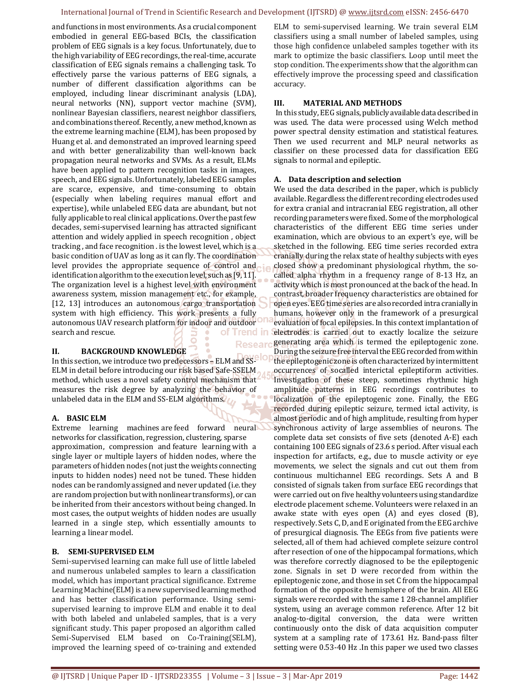#### International Journal of Trend in Scientific Research and Development (IJTSRD) @ www.ijtsrd.com eISSN: 2456-6470

**Researd** 

and functions in most environments. As a crucial component embodied in general EEG-based BCIs, the classification problem of EEG signals is a key focus. Unfortunately, due to the high variability of EEG recordings, the real-time, accurate classification of EEG signals remains a challenging task. To effectively parse the various patterns of EEG signals, a number of different classification algorithms can be employed, including linear discriminant analysis (LDA), neural networks (NN), support vector machine (SVM), nonlinear Bayesian classifiers, nearest neighbor classifiers, and combinations thereof. Recently, a new method, known as the extreme learning machine (ELM), has been proposed by Huang et al. and demonstrated an improved learning speed and with better generalizability than well-known back propagation neural networks and SVMs. As a result, ELMs have been applied to pattern recognition tasks in images, speech, and EEG signals. Unfortunately, labeled EEG samples are scarce, expensive, and time-consuming to obtain (especially when labeling requires manual effort and expertise), while unlabeled EEG data are abundant, but not fully applicable to real clinical applications. Over the past few decades, semi-supervised learning has attracted significant attention and widely applied in speech recognition , object tracking , and face recognition . is the lowest level, which is a basic condition of UAV as long as it can fly. The coordination level provides the appropriate sequence of control and identification algorithm to the execution level, such as [9, 11]. The organization level is a highest level with environment awareness system, mission management etc., for example, [12, 13] introduces an autonomous cargo transportation system with high efficiency. This work presents a fully autonomous UAV research platform for indoor and outdoor search and rescue. of Trend in

### **II. BACKGROUND KNOWLEDGE**

In this section, we introduce two predecessors – ELM and SS-ELM in detail before introducing our risk based Safe-SSELM method, which uses a novel safety control mechanism that measures the risk degree by analyzing the behavior of unlabeled data in the ELM and SS-ELM algorithms.

# **A. BASIC ELM**

Extreme learning machines are feed forward neural networks for classification, regression, clustering, sparse approximation, compression and feature learning with a single layer or multiple layers of hidden nodes, where the parameters of hidden nodes (not just the weights connecting inputs to hidden nodes) need not be tuned. These hidden nodes can be randomly assigned and never updated (i.e. they are random projection but with nonlinear transforms), or can be inherited from their ancestors without being changed. In most cases, the output weights of hidden nodes are usually learned in a single step, which essentially amounts to learning a linear model.

# **B. SEMI-SUPERVISED ELM**

Semi-supervised learning can make full use of little labeled and numerous unlabeled samples to learn a classification model, which has important practical significance. Extreme Learning Machine(ELM) is a new supervised learning method and has better classification performance. Using semisupervised learning to improve ELM and enable it to deal with both labeled and unlabeled samples, that is a very significant study. This paper proposed an algorithm called Semi-Supervised ELM based on Co-Training(SELM), improved the learning speed of co-training and extended

ELM to semi-supervised learning. We train several ELM classifiers using a small number of labeled samples, using those high confidence unlabeled samples together with its mark to optimize the basic classifiers. Loop until meet the stop condition. The experiments show that the algorithm can effectively improve the processing speed and classification accuracy.

## **III. MATERIAL AND METHODS**

 In this study, EEG signals, publicly available data described in was used. The data were processed using Welch method power spectral density estimation and statistical features. Then we used recurrent and MLP neural networks as classifier on these processed data for classification EEG signals to normal and epileptic.

## **A. Data description and selection**

We used the data described in the paper, which is publicly available. Regardless the different recording electrodes used for extra cranial and intracranial EEG registration, all other recording parameters were fixed. Some of the morphological characteristics of the different EEG time series under examination, which are obvious to an expert's eye, will be sketched in the following. EEG time series recorded extra cranially during the relax state of healthy subjects with eyes closed show a predominant physiological rhythm, the socalled alpha rhythm in a frequency range of 8-13 Hz, an activity which is most pronounced at the back of the head. In contrast, broader frequency characteristics are obtained for open eyes. EEG time series are also recorded intra cranially in humans, however only in the framework of a presurgical evaluation of focal epilepsies. In this context implantation of electrodes is carried out to exactly localize the seizure generating area which is termed the epileptogenic zone. During the seizure free interval the EEG recorded from within the epileptogenic zone is often characterized by intermittent occurrences of socalled interictal epileptiform activities. Investigation of these steep, sometimes rhythmic high amplitude patterns in EEG recordings contributes to localization of the epileptogenic zone. Finally, the EEG recorded during epileptic seizure, termed ictal activity, is almost periodic and of high amplitude, resulting from hyper synchronous activity of large assemblies of neurons. The complete data set consists of five sets (denoted A-E) each containing 100 EEG signals of 23.6 s period. After visual each inspection for artifacts, e.g., due to muscle activity or eye movements, we select the signals and cut out them from continuous multichannel EEG recordings. Sets A and B consisted of signals taken from surface EEG recordings that were carried out on five healthy volunteers using standardize electrode placement scheme. Volunteers were relaxed in an awake state with eyes open (A) and eyes closed (B), respectively. Sets C, D, and E originated from the EEG archive of presurgical diagnosis. The EEGs from five patients were selected, all of them had achieved complete seizure control after resection of one of the hippocampal formations, which was therefore correctly diagnosed to be the epileptogenic zone. Signals in set D were recorded from within the epileptogenic zone, and those in set C from the hippocampal formation of the opposite hemisphere of the brain. All EEG signals were recorded with the same 1 28-channel amplifier system, using an average common reference. After 12 bit analog-to-digital conversion, the data were written continuously onto the disk of data acquisition computer system at a sampling rate of 173.61 Hz. Band-pass filter setting were 0.53-40 Hz .In this paper we used two classes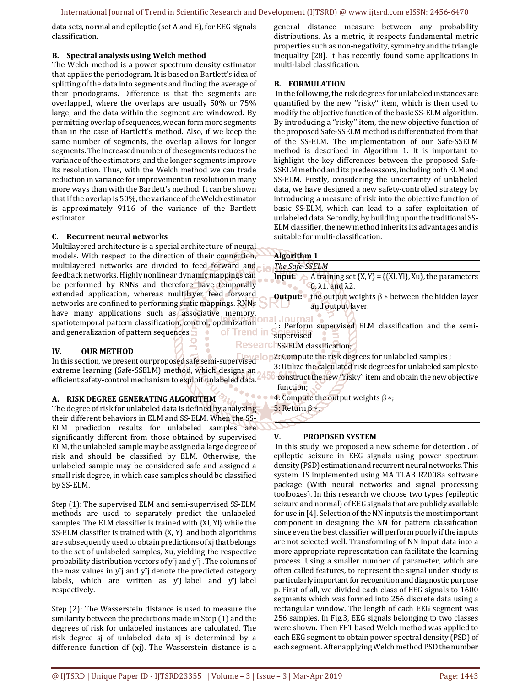data sets, normal and epileptic (set A and E), for EEG signals classification.

### **B. Spectral analysis using Welch method**

The Welch method is a power spectrum density estimator that applies the periodogram. It is based on Bartlett's idea of splitting of the data into segments and finding the average of their priodograms. Difference is that the segments are overlapped, where the overlaps are usually 50% or 75% large, and the data within the segment are windowed. By permitting overlap of sequences, we can form more segments than in the case of Bartlett's method. Also, if we keep the same number of segments, the overlap allows for longer segments. The increased number of the segments reduces the variance of the estimators, and the longer segments improve its resolution. Thus, with the Welch method we can trade reduction in variance for improvement in resolution in many more ways than with the Bartlett's method. It can be shown that if the overlap is 50%, the variance of the Welch estimator is approximately 9116 of the variance of the Bartlett estimator.

### **C. Recurrent neural networks**

Multilayered architecture is a special architecture of neural models. With respect to the direction of their connection, multilayered networks are divided to feed forward and feedback networks. Highly nonlinear dynamic mappings can be performed by RNNs and therefore have temporally extended application, whereas multilayer feed forward networks are confined to performing static mappings. RNNs have many applications such as associative memory, spatiotemporal pattern classification, control, optimization and generalization of pattern sequences. of Trend in

### **IV. OUR METHOD**

In this section, we present our proposed safe semi-supervised extreme learning (Safe-SSELM) method, which designs an efficient safety-control mechanism to exploit unlabeled data.

### **A. RISK DEGREE GENERATING ALGORITHM**

The degree of risk for unlabeled data is defined by analyzing their different behaviors in ELM and SS-ELM. When the SS-ELM prediction results for unlabeled samples are significantly different from those obtained by supervised ELM, the unlabeled sample may be assigned a large degree of risk and should be classified by ELM. Otherwise, the unlabeled sample may be considered safe and assigned a small risk degree, in which case samples should be classified by SS-ELM.

Step (1): The supervised ELM and semi-supervised SS-ELM methods are used to separately predict the unlabeled samples. The ELM classifier is trained with {Xl, Yl} while the SS-ELM classifier is trained with {X, Y}, and both algorithms are subsequently used to obtain predictions of xj that belongs to the set of unlabeled samples, Xu, yielding the respective probability distribution vectors of y<sup>-</sup>j and y<sup>-</sup>j. The columns of the max values in  $y$ <sup> $\bar{y}$ </sup> and  $y$ <sup> $\bar{y}$ </sup> denote the predicted category labels, which are written as y<sup>-</sup>j\_label and y<sup>-</sup>j\_label respectively.

Step (2): The Wasserstein distance is used to measure the similarity between the predictions made in Step (1) and the degrees of risk for unlabeled instances are calculated. The risk degree sj of unlabeled data xj is determined by a difference function df (xj). The Wasserstein distance is a

general distance measure between any probability distributions. As a metric, it respects fundamental metric properties such as non-negativity, symmetry and the triangle inequality [28]. It has recently found some applications in multi-label classification.

### **B. FORMULATION**

 In the following, the risk degrees for unlabeled instances are quantified by the new "risky" item, which is then used to modify the objective function of the basic SS-ELM algorithm. By introducing a ''risky'' item, the new objective function of the proposed Safe-SSELM method is differentiated from that of the SS-ELM. The implementation of our Safe-SSELM method is described in Algorithm 1. It is important to highlight the key differences between the proposed Safe-SSELM method and its predecessors, including both ELM and SS-ELM. Firstly, considering the uncertainty of unlabeled data, we have designed a new safety-controlled strategy by introducing a measure of risk into the objective function of basic SS-ELM, which can lead to a safer exploitation of unlabeled data. Secondly, by building upon the traditional SS-ELM classifier, the new method inherits its advantages and is suitable for multi-classification.

#### **Algorithm 1**

*The Safe-SSELM* 

**Input:** A training set  $\{X, Y\} = \{\{X\}, Y\}$ , Xu $\}$ , the parameters C, λ1, and λ2.

- **Output:** the output weights β ∗ between the hidden layer and output layer.
- .lournal 1: Perform supervised ELM classification and the semisupervised

Researchss-ELM classification;

2: Compute the risk degrees for unlabeled samples ;

3: Utilize the calculated risk degrees for unlabeled samples to **50** construct the new "risky" item and obtain the new objective function;

4: Compute the output weights β ∗; 5: Return β ∗.

### **V. PROPOSED SYSTEM**

 In this study, we proposed a new scheme for detection . of epileptic seizure in EEG signals using power spectrum density (PSD) estimation and recurrent neural networks. This system. IS implemented using MA TLAB R2008a software package (With neural networks and signal processing toolboxes). In this research we choose two types (epileptic seizure and normal) of EEG signals that are publicly available for use in [4]. Selection of the NN inputs is the most important component in designing the NN for pattern classification since even the best classifier will perform poorly if the inputs are not selected well. Transforming of NN input data into a more appropriate representation can facilitate the learning process. Using a smaller number of parameter, which are often called features, to represent the signal under study is particularly important for recognition and diagnostic purpose p. First of all, we divided each class of EEG signals to 1600 segments which was formed into 256 discrete data using a rectangular window. The length of each EEG segment was 256 samples. In Fig.3, EEG signals belonging to two classes were shown. Then FFT based Welch method was applied to each EEG segment to obtain power spectral density (PSD) of each segment. After applying Welch method PSD the number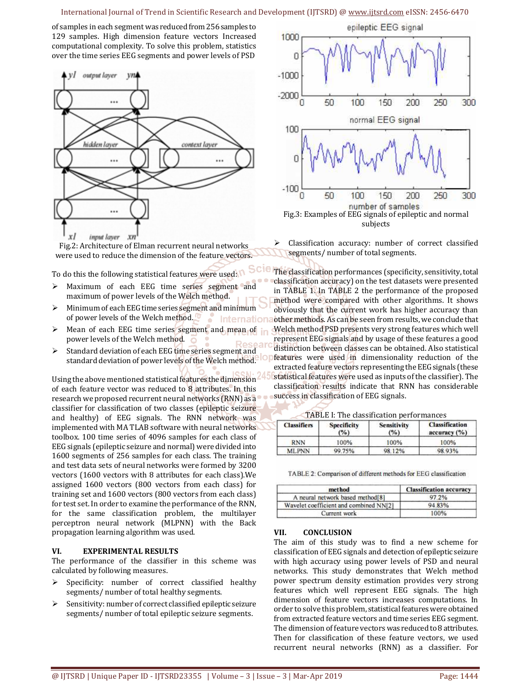### International Journal of Trend in Scientific Research and Development (IJTSRD) @ www.ijtsrd.com eISSN: 2456-6470

of samples in each segment was reduced from 256 samples to 129 samples. High dimension feature vectors Increased computational complexity. To solve this problem, statistics over the time series EEG segments and power levels of PSD



Fig.2: Architecture of Elman recurrent neural networks were used to reduce the dimension of the feature vectors.

To do this the following statistical features were used:

- > Maximum of each EEG time series segment and maximum of power levels of the Welch method.
- $\triangleright$  Minimum of each EEG time series segment and minimum of power levels of the Welch method. Internation
- $\triangleright$  Mean of each EEG time series segment and mean of power levels of the Welch method.
- $\triangleright$  Standard deviation of each EEG time series segment and standard deviation of power levels of the Welch method.

Using the above mentioned statistical features the dimension of each feature vector was reduced to 8 attributes. In this research we proposed recurrent neural networks (RNN) as a classifier for classification of two classes (epileptic seizure and healthy) of EEG signals. The RNN network was implemented with MA TLAB software with neural networks toolbox. 100 time series of 4096 samples for each class of EEG signals (epileptic seizure and normal) were divided into 1600 segments of 256 samples for each class. The training and test data sets of neural networks were formed by 3200 vectors (1600 vectors with 8 attributes for each class).We assigned 1600 vectors (800 vectors from each class) for training set and 1600 vectors (800 vectors from each class) for test set. In order to examine the performance of the RNN, for the same classification problem, the multilayer perceptron neural network (MLPNN) with the Back propagation learning algorithm was used.

#### **VI. EXPERIMENTAL RESULTS**

The performance of the classifier in this scheme was calculated by following measures.

- $\triangleright$  Specificity: number of correct classified healthy segments/ number of total healthy segments.
- $\triangleright$  Sensitivity: number of correct classified epileptic seizure segments/ number of total epileptic seizure segments.



 Classification accuracy: number of correct classified segments/ number of total segments.

**SCIC** The classification performances (specificity, sensitivity, total classification accuracy) on the test datasets were presented in TABLE 1. In TABLE 2 the performance of the proposed method were compared with other algorithms. It shows obviously that the current work has higher accuracy than other methods. As can be seen from results, we conclude that Welch method PSD presents very strong features which well represent EEG signals and by usage of these features a good distinction between classes can be obtained. Also statistical features were used in dimensionality reduction of the extracted feature vectors representing the EEG signals (these statistical features were used as inputs of the classifier). The classification results indicate that RNN has considerable success in classification of EEG signals.

| <b>TADLE I: THE CLASSIFICATION DELIGITION</b> |                    |                |            |  |
|-----------------------------------------------|--------------------|----------------|------------|--|
| $r = r$                                       | $C_{\text{model}}$ | $C$ amaitinity | Classifica |  |

TABLE L. The classification perform

| <b>Classifiers</b> | <b>Specificity</b><br>$(\%)$ | <b>Sensitivity</b><br>(°/°) | <b>Classification</b><br>accuracy (%) |
|--------------------|------------------------------|-----------------------------|---------------------------------------|
| <b>RNN</b>         | 100%                         | 100%                        | 100%                                  |
| <b>MLPNN</b>       | 99.75%                       | 98.12%                      | 98.93%                                |

TABLE 2: Comparison of different methods for EEG classification

| method                                 | <b>Classification accuracy</b> |
|----------------------------------------|--------------------------------|
| A neural network based method [8]      | 97.2%                          |
| Wavelet coefficient and combined NN[2] | 94 83%                         |
| Current work                           | 100%                           |

#### **VII. CONCLUSION**

The aim of this study was to find a new scheme for classification of EEG signals and detection of epileptic seizure with high accuracy using power levels of PSD and neural networks. This study demonstrates that Welch method power spectrum density estimation provides very strong features which well represent EEG signals. The high dimension of feature vectors increases computations. In order to solve this problem, statistical features were obtained from extracted feature vectors and time series EEG segment. The dimension of feature vectors was reduced to 8 attributes. Then for classification of these feature vectors, we used recurrent neural networks (RNN) as a classifier. For